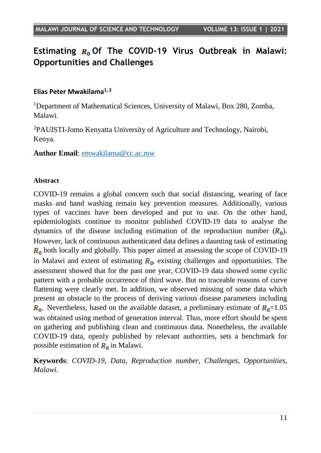# Estimating R<sub>0</sub> Of The COVID-19 Virus Outbreak in Malawi: **Opportunities and Challenges**

### **Elias Peter Mwakilama1, 2**

<sup>1</sup>Department of Mathematical Sciences, University of Malawi, Box 280, Zomba, Malawi.

<sup>2</sup>PAUISTI-Jomo Kenyatta University of Agriculture and Technology, Nairobi, Kenya.

**Author Email**: [emwakilama@cc.ac.mw](mailto:emwakilama@cc.ac.mw)

#### **Abstract**

COVID-19 remains a global concern such that social distancing, wearing of face masks and hand washing remain key prevention measures. Additionally, various types of vaccines have been developed and put to use. On the other hand, epidemiologists continue to monitor published COVID-19 data to analyse the dynamics of the disease including estimation of the reproduction number  $(R_0)$ . However, lack of continuous authenticated data defines a daunting task of estimating  $R_0$  both locally and globally. This paper aimed at assessing the scope of COVID-19 in Malawi and extent of estimating  $R_0$ , existing challenges and opportunities. The assessment showed that for the past one year, COVID-19 data showed some cyclic pattern with a probable occurrence of third wave. But no traceable reasons of curve flattening were clearly met. In addition, we observed missing of some data which present an obstacle to the process of deriving various disease parameters including  $R_0$ . Nevertheless, based on the available dataset, a preliminary estimate of  $R_0$ =1.05 was obtained using method of generation interval. Thus, more effort should be spent on gathering and publishing clean and continuous data. Nonetheless, the available COVID-19 data, openly published by relevant authorities, sets a benchmark for possible estimation of  $R_0$  in Malawi.

**Keywords**: *COVID-19, Data, Reproduction number, Challenges, Opportunities, Malawi.*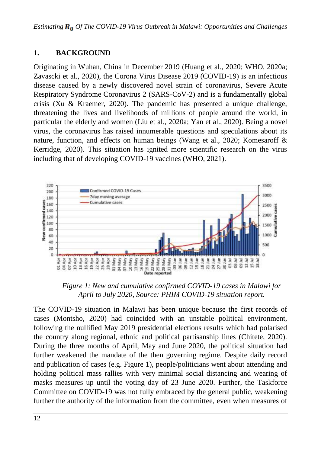# **1. BACKGROUND**

Originating in Wuhan, China in December 2019 (Huang et al., 2020; WHO, 2020a; Zavascki et al., 2020), the Corona Virus Disease 2019 (COVID-19) is an infectious disease caused by a newly discovered novel strain of coronavirus, Severe Acute Respiratory Syndrome Coronavirus 2 (SARS-CoV-2) and is a fundamentally global crisis (Xu & Kraemer, 2020). The pandemic has presented a unique challenge, threatening the lives and livelihoods of millions of people around the world, in particular the elderly and women (Liu et al., 2020a; Yan et al., 2020). Being a novel virus, the coronavirus has raised innumerable questions and speculations about its nature, function, and effects on human beings (Wang et al., 2020; Komesaroff & Kerridge, 2020). This situation has ignited more scientific research on the virus including that of developing COVID-19 vaccines (WHO, 2021).



*Figure 1: New and cumulative confirmed COVID-19 cases in Malawi for April to July 2020, Source: PHIM COVID-19 situation report.*

The COVID-19 situation in Malawi has been unique because the first records of cases (Montsho, 2020) had coincided with an unstable political environment, following the nullified May 2019 presidential elections results which had polarised the country along regional, ethnic and political partisanship lines (Chitete, 2020). During the three months of April, May and June 2020, the political situation had further weakened the mandate of the then governing regime. Despite daily record and publication of cases (e.g. Figure 1), people/politicians went about attending and holding political mass rallies with very minimal social distancing and wearing of masks measures up until the voting day of 23 June 2020. Further, the Taskforce Committee on COVID-19 was not fully embraced by the general public, weakening further the authority of the information from the committee, even when measures of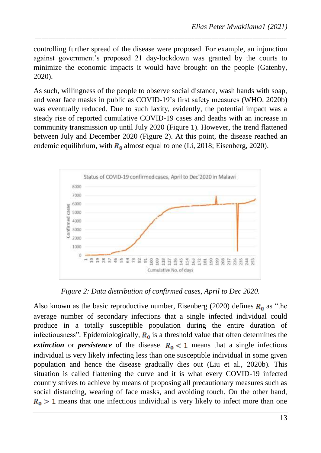controlling further spread of the disease were proposed. For example, an injunction against government's proposed 21 day-lockdown was granted by the courts to minimize the economic impacts it would have brought on the people (Gatenby, 2020).

*\_\_\_\_\_\_\_\_\_\_\_\_\_\_\_\_\_\_\_\_\_\_\_\_\_\_\_\_\_\_\_\_\_\_\_\_\_\_\_\_\_\_\_\_\_\_\_\_\_\_\_\_\_\_\_\_\_\_\_\_\_\_\_\_\_\_\_\_\_\_\_\_\_\_*

As such, willingness of the people to observe social distance, wash hands with soap, and wear face masks in public as COVID-19's first safety measures (WHO, 2020b) was eventually reduced. Due to such laxity, evidently, the potential impact was a steady rise of reported cumulative COVID-19 cases and deaths with an increase in community transmission up until July 2020 (Figure 1). However, the trend flattened between July and December 2020 (Figure 2). At this point, the disease reached an endemic equilibrium, with  $R_0$  almost equal to one (Li, 2018; Eisenberg, 2020).



*Figure 2: Data distribution of confirmed cases, April to Dec 2020.*

Also known as the basic reproductive number, Eisenberg (2020) defines  $R_0$  as "the average number of secondary infections that a single infected individual could produce in a totally susceptible population during the entire duration of infectiousness". Epidemiologically,  $R_0$  is a threshold value that often determines the *extinction* or *persistence* of the disease.  $R_0 < 1$  means that a single infectious individual is very likely infecting less than one susceptible individual in some given population and hence the disease gradually dies out (Liu et al., 2020b). This situation is called flattening the curve and it is what every COVID-19 infected country strives to achieve by means of proposing all precautionary measures such as social distancing, wearing of face masks, and avoiding touch. On the other hand,  $R_0 > 1$  means that one infectious individual is very likely to infect more than one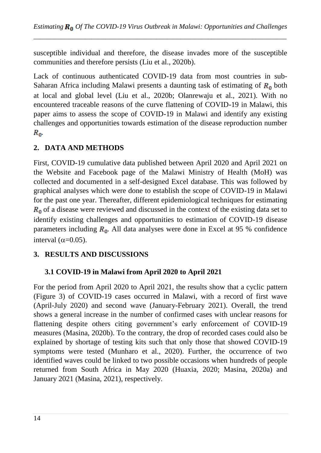susceptible individual and therefore, the disease invades more of the susceptible communities and therefore persists (Liu et al., 2020b).

Lack of continuous authenticated COVID-19 data from most countries in sub-Saharan Africa including Malawi presents a daunting task of estimating of  $R_0$  both at local and global level (Liu et al., 2020b; Olanrewaju et al., 2021). With no encountered traceable reasons of the curve flattening of COVID-19 in Malawi, this paper aims to assess the scope of COVID-19 in Malawi and identify any existing challenges and opportunities towards estimation of the disease reproduction number  $R_{0}$ .

# **2. DATA AND METHODS**

First, COVID-19 cumulative data published between April 2020 and April 2021 on the Website and Facebook page of the Malawi Ministry of Health (MoH) was collected and documented in a self-designed Excel database. This was followed by graphical analyses which were done to establish the scope of COVID-19 in Malawi for the past one year. Thereafter, different epidemiological techniques for estimating  $R_0$  of a disease were reviewed and discussed in the context of the existing data set to identify existing challenges and opportunities to estimation of COVID-19 disease parameters including  $R_0$ . All data analyses were done in Excel at 95 % confidence interval ( $\alpha$ =0.05).

## **3. RESULTS AND DISCUSSIONS**

## **3.1 COVID-19 in Malawi from April 2020 to April 2021**

For the period from April 2020 to April 2021, the results show that a cyclic pattern (Figure 3) of COVID-19 cases occurred in Malawi, with a record of first wave (April-July 2020) and second wave (January-February 2021). Overall, the trend shows a general increase in the number of confirmed cases with unclear reasons for flattening despite others citing government's early enforcement of COVID-19 measures (Masina, 2020b). To the contrary, the drop of recorded cases could also be explained by shortage of testing kits such that only those that showed COVID-19 symptoms were tested (Munharo et al., 2020). Further, the occurrence of two identified waves could be linked to two possible occasions when hundreds of people returned from South Africa in May 2020 (Huaxia, 2020; Masina, 2020a) and January 2021 (Masina, 2021), respectively.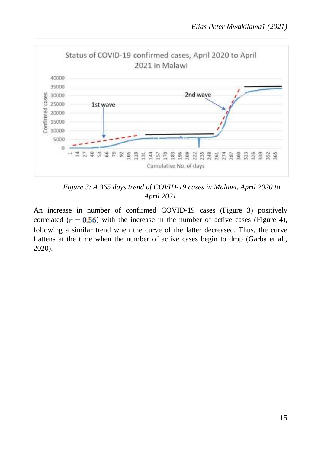

*Figure 3: A 365 days trend of COVID-19 cases in Malawi, April 2020 to April 2021*

An increase in number of confirmed COVID-19 cases (Figure 3) positively correlated ( $r = 0.56$ ) with the increase in the number of active cases (Figure 4), following a similar trend when the curve of the latter decreased. Thus, the curve flattens at the time when the number of active cases begin to drop (Garba et al., 2020).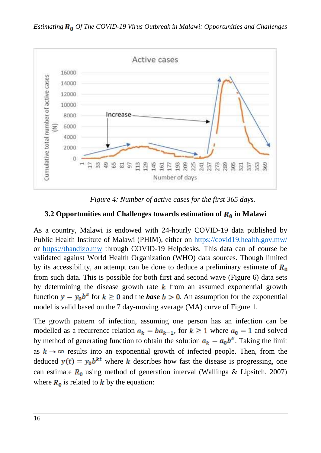



*Figure 4: Number of active cases for the first 365 days.*

#### **3.2 Opportunities and Challenges towards estimation of**  $R_0$  **in Malawi**

As a country, Malawi is endowed with 24-hourly COVID-19 data published by Public Health Institute of Malawi (PHIM), either on<https://covid19.health.gov.mw/> or [https://thandizo.mw](https://thandizo.mw/) through COVID-19 Helpdesks. This data can of course be validated against World Health Organization (WHO) data sources. Though limited by its accessibility, an attempt can be done to deduce a preliminary estimate of  $R_0$ from such data. This is possible for both first and second wave (Figure 6) data sets by determining the disease growth rate  $k$  from an assumed exponential growth function  $y = y_0 b^k$  for  $k \ge 0$  and the **base**  $b > 0$ . An assumption for the exponential model is valid based on the 7 day-moving average (MA) curve of Figure 1.

The growth pattern of infection, assuming one person has an infection can be modelled as a recurrence relation  $a_k = ba_{k-1}$ , for  $k \ge 1$  where  $a_0 = 1$  and solved by method of generating function to obtain the solution  $a_k = a_0 b^k$ . Taking the limit as  $k \to \infty$  results into an exponential growth of infected people. Then, from the deduced  $y(t) = y_0 b^{kt}$  where k describes how fast the disease is progressing, one can estimate  $R_0$  using method of generation interval (Wallinga & Lipsitch, 2007) where  $R_0$  is related to  $k$  by the equation: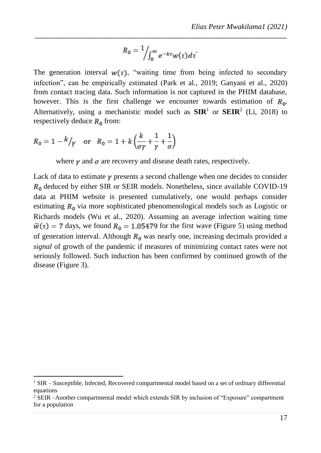$$
R_0 = \frac{1}{\int_0^\infty e^{-k\tau} w(\tau) d\tau}
$$

*\_\_\_\_\_\_\_\_\_\_\_\_\_\_\_\_\_\_\_\_\_\_\_\_\_\_\_\_\_\_\_\_\_\_\_\_\_\_\_\_\_\_\_\_\_\_\_\_\_\_\_\_\_\_\_\_\_\_\_\_\_\_\_\_\_\_\_\_\_\_\_\_\_\_*

The generation interval  $w(\tau)$ , "waiting time from being infected to secondary infection", can be empirically estimated (Park et al., 2019; Ganyani et al., 2020) from contact tracing data. Such information is not captured in the PHIM database, however. This is the first challenge we encounter towards estimation of  $R_0$ . Alternatively, using a mechanistic model such as  $SIR<sup>1</sup>$  or  $SERR<sup>2</sup>$  (Li, 2018) to respectively deduce  $R_0$  from:

$$
R_0 = 1 - \frac{k}{\gamma} \quad \text{or} \quad R_0 = 1 + k \left( \frac{k}{\sigma \gamma} + \frac{1}{\gamma} + \frac{1}{\sigma} \right)
$$

 $\overline{\phantom{a}}$ 

where  $\gamma$  and  $\sigma$  are recovery and disease death rates, respectively.

Lack of data to estimate  $\gamma$  presents a second challenge when one decides to consider  $R_0$  deduced by either SIR or SEIR models. Nonetheless, since available COVID-19 data at PHIM website is presented cumulatively, one would perhaps consider estimating  $R_0$  via more sophisticated phenomenological models such as Logistic or Richards models (Wu et al., 2020). Assuming an average infection waiting time  $\tilde{w}(\tau) = 7$  days, we found  $R_0 = 1.05479$  for the first wave (Figure 5) using method of generation interval. Although  $R_0$  was nearly one, increasing decimals provided a *signal* of growth of the pandemic if measures of minimizing contact rates were not seriously followed. Such induction has been confirmed by continued growth of the disease (Figure 3).

<sup>&</sup>lt;sup>1</sup> SIR – Susceptible, Infected, Recovered compartmental model based on a set of ordinary differential equations

<sup>2</sup> SEIR –Another compartmental model which extends SIR by inclusion of "Exposure" compartment for a population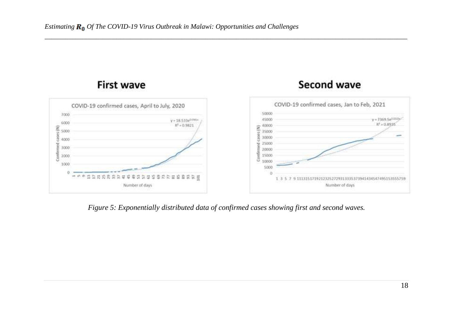

*\_\_\_\_\_\_\_\_\_\_\_\_\_\_\_\_\_\_\_\_\_\_\_\_\_\_\_\_\_\_\_\_\_\_\_\_\_\_\_\_\_\_\_\_\_\_\_\_\_\_\_\_\_\_\_\_\_\_\_\_\_\_\_\_\_\_\_\_\_\_\_\_\_\_\_\_\_\_\_\_\_\_\_\_\_\_\_\_\_\_\_\_\_\_\_\_\_\_\_\_\_\_\_\_\_\_*

#### <span id="page-7-0"></span>*Figure 5: Exponentially distributed data of confirmed cases showing first and second waves.*

# **First wave**

**Second wave**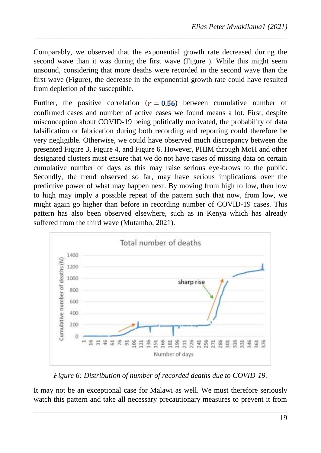Comparably, we observed that the exponential growth rate decreased during the second wave than it was during the first wave [\(Figure \)](#page-7-0). While this might seem unsound, considering that more deaths were recorded in the second wave than the first wave [\(Figure\)](#page-8-0), the decrease in the exponential growth rate could have resulted from depletion of the susceptible.

*\_\_\_\_\_\_\_\_\_\_\_\_\_\_\_\_\_\_\_\_\_\_\_\_\_\_\_\_\_\_\_\_\_\_\_\_\_\_\_\_\_\_\_\_\_\_\_\_\_\_\_\_\_\_\_\_\_\_\_\_\_\_\_\_\_\_\_\_\_\_\_\_\_\_*

Further, the positive correlation ( $r = 0.56$ ) between cumulative number of confirmed cases and number of active cases we found means a lot. First, despite misconception about COVID-19 being politically motivated, the probability of data falsification or fabrication during both recording and reporting could therefore be very negligible. Otherwise, we could have observed much discrepancy between the presented Figure 3, Figure 4, and Figure 6. However, PHIM through MoH and other designated clusters must ensure that we do not have cases of missing data on certain cumulative number of days as this may raise serious eye-brows to the public. Secondly, the trend observed so far, may have serious implications over the predictive power of what may happen next. By moving from high to low, then low to high may imply a possible repeat of the pattern such that now, from low, we might again go higher than before in recording number of COVID-19 cases. This pattern has also been observed elsewhere, such as in Kenya which has already suffered from the third wave (Mutambo, 2021).



*Figure 6: Distribution of number of recorded deaths due to COVID-19.*

<span id="page-8-0"></span>It may not be an exceptional case for Malawi as well. We must therefore seriously watch this pattern and take all necessary precautionary measures to prevent it from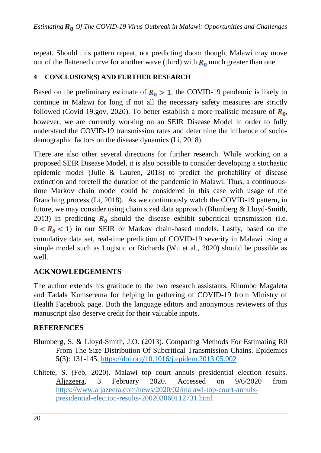repeat. Should this pattern repeat, not predicting doom though, Malawi may move out of the flattened curve for another wave (third) with  $R_0$  much greater than one.

### **4 CONCLUSION(S) AND FURTHER RESEARCH**

Based on the preliminary estimate of  $R_0 > 1$ , the COVID-19 pandemic is likely to continue in Malawi for long if not all the necessary safety measures are strictly followed (Covid-19.gov, 2020). To better establish a more realistic measure of  $R_0$ , however, we are currently working on an SEIR Disease Model in order to fully understand the COVID-19 transmission rates and determine the influence of sociodemographic factors on the disease dynamics (Li, 2018).

There are also other several directions for further research. While working on a proposed SEIR Disease Model, it is also possible to consider developing a stochastic epidemic model (Julie & Lauren, 2018) to predict the probability of disease extinction and foretell the duration of the pandemic in Malawi. Thus, a continuoustime Markov chain model could be considered in this case with usage of the Branching process (Li, 2018). As we continuously watch the COVID-19 pattern, in future, we may consider using chain sized data approach (Blumberg  $&$  Lloyd-Smith, 2013) in predicting  $R_0$  should the disease exhibit subcritical transmission (i.e.  $0 < R_0 < 1$ ) in our SEIR or Markov chain-based models. Lastly, based on the cumulative data set, real-time prediction of COVID-19 severity in Malawi using a simple model such as Logistic or Richards (Wu et al., 2020) should be possible as well.

# **ACKNOWLEDGEMENTS**

The author extends his gratitude to the two research assistants, Khumbo Magaleta and Tadala Kumserema for helping in gathering of COVID-19 from Ministry of Health Facebook page. Both the language editors and anonymous reviewers of this manuscript also deserve credit for their valuable inputs.

## **REFERENCES**

- Blumberg, S. & Lloyd-Smith, J.O. (2013). Comparing Methods For Estimating R0 From The Size Distribution Of Subcritical Transmission Chains. Epidemics **5**(3): 131-145,<https://doi.org/10.1016/j.epidem.2013.05.002>
- Chitete, S. (Feb, 2020). Malawi top court annuls presidential election results. Aljazeera, 3 February 2020. Accessed on 9/6/2020 from [https://www.aljazeera.com/news/2020/02/malawi-top-court-annuls](https://www.aljazeera.com/news/2020/02/malawi-top-court-annuls-presidential-election-results-200203060112731.html)[presidential-election-results-200203060112731.html](https://www.aljazeera.com/news/2020/02/malawi-top-court-annuls-presidential-election-results-200203060112731.html)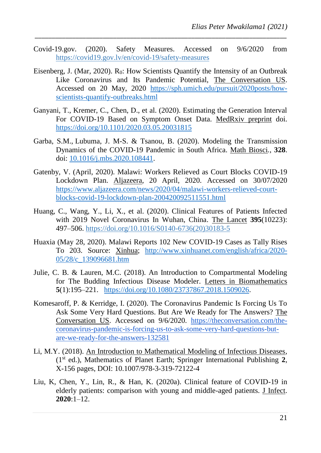Covid-19.gov. (2020). Safety Measures. Accessed on 9/6/2020 from <https://covid19.gov.lv/en/covid-19/safety-measures>

*\_\_\_\_\_\_\_\_\_\_\_\_\_\_\_\_\_\_\_\_\_\_\_\_\_\_\_\_\_\_\_\_\_\_\_\_\_\_\_\_\_\_\_\_\_\_\_\_\_\_\_\_\_\_\_\_\_\_\_\_\_\_\_\_\_\_\_\_\_\_\_\_\_\_*

- Eisenberg, J. (Mar, 2020).  $R_0$ : How Scientists Quantify the Intensity of an Outbreak Like Coronavirus and Its Pandemic Potential, The Conversation US. Accessed on 20 May, 2020 [https://sph.umich.edu/pursuit/2020posts/how](https://sph.umich.edu/pursuit/2020posts/how-scientists-quantify-outbreaks.html)[scientists-quantify-outbreaks.html](https://sph.umich.edu/pursuit/2020posts/how-scientists-quantify-outbreaks.html)
- Ganyani, T., Kremer, C., Chen, D., et al. (2020). Estimating the Generation Interval For COVID-19 Based on Symptom Onset Data. MedRxiv preprint doi. <https://doi.org/10.1101/2020.03.05.20031815>
- Garba, S.M., Lubuma, J. M-S. & Tsanou, B. (2020). Modeling the Transmission Dynamics of the COVID-19 Pandemic in South Africa. Math Biosci*.*, **328**. doi: [10.1016/j.mbs.2020.108441.](https://dx.doi.org/10.1016%2Fj.mbs.2020.108441)
- Gatenby, V. (April, 2020). Malawi: Workers Relieved as Court Blocks COVID-19 Lockdown Plan. Aljazeera, 20 April, 2020. Accessed on 30/07/2020 [https://www.aljazeera.com/news/2020/04/malawi-workers-relieved-court](https://www.aljazeera.com/news/2020/04/malawi-workers-relieved-court-blocks-covid-19-lockdown-plan-200420092511551.html)[blocks-covid-19-lockdown-plan-200420092511551.html](https://www.aljazeera.com/news/2020/04/malawi-workers-relieved-court-blocks-covid-19-lockdown-plan-200420092511551.html)
- Huang, C., Wang, Y., Li, X., et al. (2020). Clinical Features of Patients Infected with 2019 Novel Coronavirus In Wuhan, China. The Lancet **395**(10223): 497–506. [https://doi.org/10.1016/S0140-6736\(20\)30183-5](https://doi.org/10.1016/S0140-6736(20)30183-5)
- Huaxia (May 28, 2020). Malawi Reports 102 New COVID-19 Cases as Tally Rises To 203. Source: Xinhua; [http://www.xinhuanet.com/english/africa/2020-](http://www.xinhuanet.com/english/africa/2020-05/28/c_139096681.htm) [05/28/c\\_139096681.htm](http://www.xinhuanet.com/english/africa/2020-05/28/c_139096681.htm)
- Julie, C. B. & Lauren, M.C. (2018). An Introduction to Compartmental Modeling for The Budding Infectious Disease Modeler. Letters in Biomathematics **5**(1):195–221. [https://doi.org/10.1080/23737867.2018.1509026.](https://doi.org/10.1080/23737867.2018.1509026)
- Komesaroff, P. & Kerridge, I. (2020). The Coronavirus Pandemic Is Forcing Us To Ask Some Very Hard Questions. But Are We Ready for The Answers? The Conversation US. Accessed on 9/6/2020. [https://theconversation.com/the](https://theconversation.com/the-coronavirus-pandemic-is-forcing-us-to-ask-some-very-hard-questions-but-are-we-ready-for-the-answers-132581)[coronavirus-pandemic-is-forcing-us-to-ask-some-very-hard-questions-but](https://theconversation.com/the-coronavirus-pandemic-is-forcing-us-to-ask-some-very-hard-questions-but-are-we-ready-for-the-answers-132581)[are-we-ready-for-the-answers-132581](https://theconversation.com/the-coronavirus-pandemic-is-forcing-us-to-ask-some-very-hard-questions-but-are-we-ready-for-the-answers-132581)
- Li, M.Y. (2018). An Introduction to Mathematical Modeling of Infectious Diseases, (1st ed.), Mathematics of Planet Earth; Springer International Publishing **2**, X-156 pages, DOI: 10.1007/978-3-319-72122-4
- Liu, K, Chen, Y., Lin, R., & Han, K. (2020a). Clinical feature of COVID-19 in elderly patients: comparison with young and middle-aged patients. J Infect. **2020**:1–12.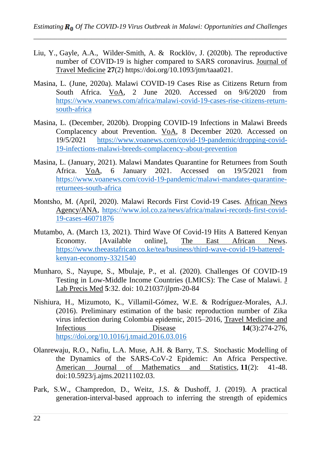- [Liu,](javascript:;) Y., [Gayle,](javascript:;) A.A., [Wilder-Smith,](javascript:;) A. & [Rocklöv,](javascript:;) J. (2020b). The reproductive number of COVID-19 is higher compared to SARS coronavirus. Journal of Travel Medicine **27**(2) [https://doi.org/10.1093/jtm/taaa021.](https://doi.org/10.1093/jtm/taaa021)
- Masina, L. (June, 2020a). Malawi COVID-19 Cases Rise as Citizens Return from South Africa. VoA, 2 June 2020. Accessed on 9/6/2020 from [https://www.voanews.com/africa/malawi-covid-19-cases-rise-citizens-return](https://www.voanews.com/africa/malawi-covid-19-cases-rise-citizens-return-south-africa)[south-africa](https://www.voanews.com/africa/malawi-covid-19-cases-rise-citizens-return-south-africa)
- Masina, L. (December, 2020b). Dropping COVID-19 Infections in Malawi Breeds Complacency about Prevention. VoA, 8 December 2020. Accessed on 19/5/2021 [https://www.voanews.com/covid-19-pandemic/dropping-covid-](https://www.voanews.com/covid-19-pandemic/dropping-covid-19-infections-malawi-breeds-complacency-about-prevention)[19-infections-malawi-breeds-complacency-about-prevention](https://www.voanews.com/covid-19-pandemic/dropping-covid-19-infections-malawi-breeds-complacency-about-prevention)
- Masina, L. (January, 2021). Malawi Mandates Quarantine for Returnees from South Africa. VoA, 6 January 2021. Accessed on 19/5/2021 from [https://www.voanews.com/covid-19-pandemic/malawi-mandates-quarantine](https://www.voanews.com/covid-19-pandemic/malawi-mandates-quarantine-returnees-south-africa)[returnees-south-africa](https://www.voanews.com/covid-19-pandemic/malawi-mandates-quarantine-returnees-south-africa)
- Montsho, M. (April, 2020). Malawi Records First Covid-19 Cases. African News Agency/ANA, [https://www.iol.co.za/news/africa/malawi-records-first-covid-](https://www.iol.co.za/news/africa/malawi-records-first-covid-19-cases-46071876)[19-cases-46071876](https://www.iol.co.za/news/africa/malawi-records-first-covid-19-cases-46071876)
- Mutambo, A. (March 13, 2021). Third Wave Of Covid-19 Hits A Battered Kenyan Economy. [Available online], The East African News. [https://www.theeastafrican.co.ke/tea/business/third-wave-covid-19-battered](https://www.theeastafrican.co.ke/tea/business/third-wave-covid-19-battered-kenyan-economy-3321540)[kenyan-economy-3321540](https://www.theeastafrican.co.ke/tea/business/third-wave-covid-19-battered-kenyan-economy-3321540)
- Munharo, S., Nayupe, S., Mbulaje, P., et al. (2020). Challenges Of COVID-19 Testing in Low-Middle Income Countries (LMICS): The Case of Malawi. J Lab Precis Med **5**:32. doi: 10.21037/jlpm-20-84
- Nishiura, H., Mizumoto, K., Villamil-Gómez, W.E. & Rodríguez-Morales, A.J. (2016). Preliminary estimation of the basic reproduction number of Zika virus infection during Colombia epidemic, 2015–2016, Travel Medicine and Infectious Disease **14**(3):274-276, <https://doi.org/10.1016/j.tmaid.2016.03.016>
- Olanrewaju, R.O., Nafiu, L.A. Muse, A.H. & Barry, T.S. Stochastic Modelling of the Dynamics of the SARS-CoV-2 Epidemic: An Africa Perspective. American Journal of Mathematics and Statistics*,* **11**(2): 41-48. doi[:10.5923/j.ajms.20211102.03.](http://dx.doi.org/10.5923/j.ajms.20211102.03)
- Park, S.W., Champredon, D., Weitz, J.S. & Dushoff, J. (2019). A practical generation-interval-based approach to inferring the strength of epidemics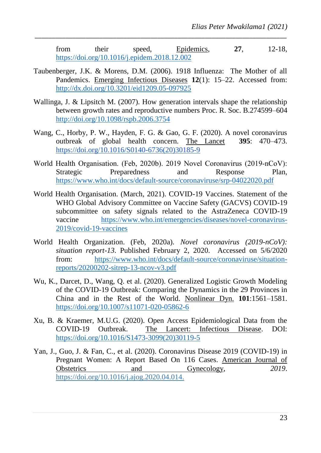from their speed, Epidemics, **27**, 12-18, <https://doi.org/10.1016/j.epidem.2018.12.002>

Taubenberger, J.K. & Morens, D.M. (2006). 1918 Influenza: The Mother of all Pandemics. Emerging Infectious Diseases **12**(1): 15–22. Accessed from: <http://dx.doi.org/10.3201/eid1209.05-097925>

*\_\_\_\_\_\_\_\_\_\_\_\_\_\_\_\_\_\_\_\_\_\_\_\_\_\_\_\_\_\_\_\_\_\_\_\_\_\_\_\_\_\_\_\_\_\_\_\_\_\_\_\_\_\_\_\_\_\_\_\_\_\_\_\_\_\_\_\_\_\_\_\_\_\_*

- Wallinga, J. & Lipsitch M. (2007). How generation intervals shape the relationship between growth rates and reproductive numbers Proc. R. Soc. B.274599–604 <http://doi.org/10.1098/rspb.2006.3754>
- Wang, C., Horby, P. W., Hayden, F. G. & Gao, G. F. (2020). A novel coronavirus outbreak of global health concern. The Lancet **395**: 470–473. [https://doi.org/10.1016/S0140-6736\(20\)30185-9](https://doi.org/10.1016/S0140-6736(20)30185-9)
- World Health Organisation. (Feb, 2020b). 2019 Novel Coronavirus (2019‑nCoV): Strategic Preparedness and Response Plan, <https://www.who.int/docs/default-source/coronaviruse/srp-04022020.pdf>
- World Health Organisation. (March, 2021). COVID-19 Vaccines. Statement of the WHO Global Advisory Committee on Vaccine Safety (GACVS) COVID-19 subcommittee on safety signals related to the AstraZeneca COVID-19 vaccine [https://www.who.int/emergencies/diseases/novel-coronavirus-](https://www.who.int/emergencies/diseases/novel-coronavirus-2019/covid-19-vaccines)[2019/covid-19-vaccines](https://www.who.int/emergencies/diseases/novel-coronavirus-2019/covid-19-vaccines)
- World Health Organization. (Feb, 2020a). *Novel coronavirus (2019-nCoV): situation report-13*. Published February 2, 2020. Accessed on 5/6/2020 from: [https://www.who.int/docs/default-source/coronaviruse/situation](https://www.who.int/docs/default-source/coronaviruse/situation-reports/20200202-sitrep-13-ncov-v3.pdf)[reports/20200202-sitrep-13-ncov-v3.pdf](https://www.who.int/docs/default-source/coronaviruse/situation-reports/20200202-sitrep-13-ncov-v3.pdf)
- Wu, K., Darcet, D., Wang, Q. et al. (2020). Generalized Logistic Growth Modeling of the COVID-19 Outbreak: Comparing the Dynamics in the 29 Provinces in China and in the Rest of the World. Nonlinear Dyn. **101**:1561–1581. <https://doi.org/10.1007/s11071-020-05862-6>
- Xu, B. & Kraemer, M.U.G. (2020). Open Access Epidemiological Data from the COVID-19 Outbreak. The Lancert: Infectious Disease. DOI: [https://doi.org/10.1016/S1473-3099\(20\)30119-5](https://doi.org/10.1016/S1473-3099(20)30119-5)
- Yan, J., Guo, J. & Fan, C., et al. (2020). Coronavirus Disease 2019 (COVID-19) in Pregnant Women: A Report Based On 116 Cases. American Journal of Obstetrics and Gynecology, 2019. [https://doi.org/10.1016/j.ajog.2020.04.014.](https://doi.org/10.1016/j.ajog.2020.04.014)